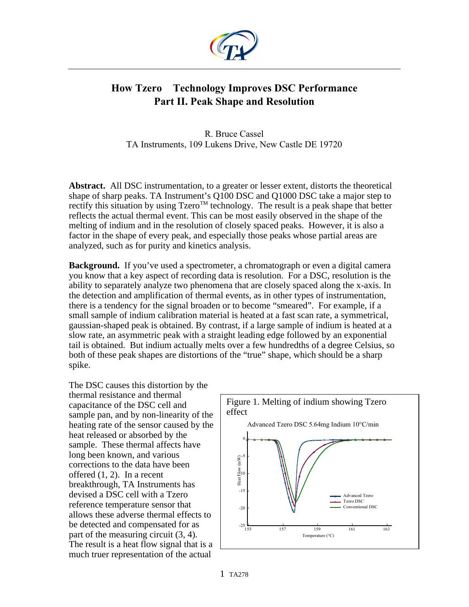

## **How Tzero Technology Improves DSC Performance Part II. Peak Shape and Resolution**

R. Bruce Cassel TA Instruments, 109 Lukens Drive, New Castle DE 19720

**Abstract.** All DSC instrumentation, to a greater or lesser extent, distorts the theoretical shape of sharp peaks. TA Instrument's Q100 DSC and Q1000 DSC take a major step to rectify this situation by using  $Tzero^{TM}$  technology. The result is a peak shape that better reflects the actual thermal event. This can be most easily observed in the shape of the melting of indium and in the resolution of closely spaced peaks. However, it is also a factor in the shape of every peak, and especially those peaks whose partial areas are analyzed, such as for purity and kinetics analysis.

**Background.** If you've used a spectrometer, a chromatograph or even a digital camera you know that a key aspect of recording data is resolution. For a DSC, resolution is the ability to separately analyze two phenomena that are closely spaced along the x-axis. In the detection and amplification of thermal events, as in other types of instrumentation, there is a tendency for the signal broaden or to become "smeared". For example, if a small sample of indium calibration material is heated at a fast scan rate, a symmetrical, gaussian-shaped peak is obtained. By contrast, if a large sample of indium is heated at a slow rate, an asymmetric peak with a straight leading edge followed by an exponential tail is obtained. But indium actually melts over a few hundredths of a degree Celsius, so both of these peak shapes are distortions of the "true" shape, which should be a sharp spike.

The DSC causes this distortion by the thermal resistance and thermal capacitance of the DSC cell and sample pan, and by non-linearity of the heating rate of the sensor caused by the heat released or absorbed by the sample. These thermal affects have long been known, and various corrections to the data have been offered (1, 2). In a recent breakthrough, TA Instruments has devised a DSC cell with a Tzero reference temperature sensor that allows these adverse thermal effects to be detected and compensated for as part of the measuring circuit (3, 4). The result is a heat flow signal that is a much truer representation of the actual

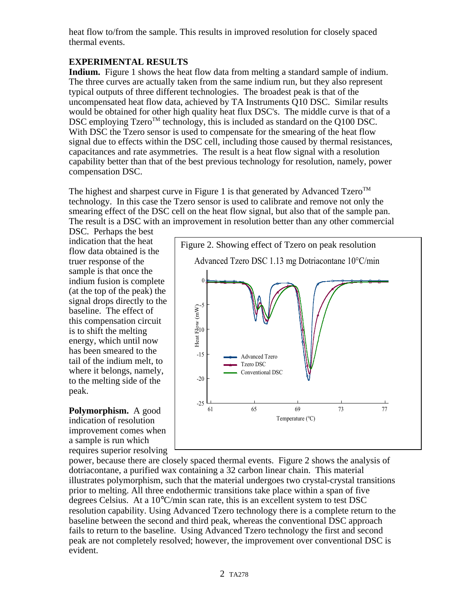heat flow to/from the sample. This results in improved resolution for closely spaced thermal events.

## **EXPERIMENTAL RESULTS**

**Indium.** Figure 1 shows the heat flow data from melting a standard sample of indium. The three curves are actually taken from the same indium run, but they also represent typical outputs of three different technologies. The broadest peak is that of the uncompensated heat flow data, achieved by TA Instruments Q10 DSC. Similar results would be obtained for other high quality heat flux DSC's. The middle curve is that of a DSC employing Tzero<sup>TM</sup> technology, this is included as standard on the Q100 DSC. With DSC the Tzero sensor is used to compensate for the smearing of the heat flow signal due to effects within the DSC cell, including those caused by thermal resistances, capacitances and rate asymmetries. The result is a heat flow signal with a resolution capability better than that of the best previous technology for resolution, namely, power compensation DSC.

The highest and sharpest curve in Figure 1 is that generated by Advanced  $Tzero^{TM}$ technology. In this case the Tzero sensor is used to calibrate and remove not only the smearing effect of the DSC cell on the heat flow signal, but also that of the sample pan. The result is a DSC with an improvement in resolution better than any other commercial

DSC. Perhaps the best indication that the heat flow data obtained is the truer response of the sample is that once the indium fusion is complete (at the top of the peak) the signal drops directly to the baseline. The effect of this compensation circuit is to shift the melting energy, which until now has been smeared to the tail of the indium melt, to where it belongs, namely, to the melting side of the peak.

**Polymorphism.** A good indication of resolution improvement comes when a sample is run which requires superior resolving



power, because there are closely spaced thermal events. Figure 2 shows the analysis of dotriacontane, a purified wax containing a 32 carbon linear chain. This material illustrates polymorphism, such that the material undergoes two crystal-crystal transitions prior to melting. All three endothermic transitions take place within a span of five degrees Celsius. At a  $10^{\circ}$ C/min scan rate, this is an excellent system to test DSC resolution capability. Using Advanced Tzero technology there is a complete return to the baseline between the second and third peak, whereas the conventional DSC approach fails to return to the baseline. Using Advanced Tzero technology the first and second peak are not completely resolved; however, the improvement over conventional DSC is evident.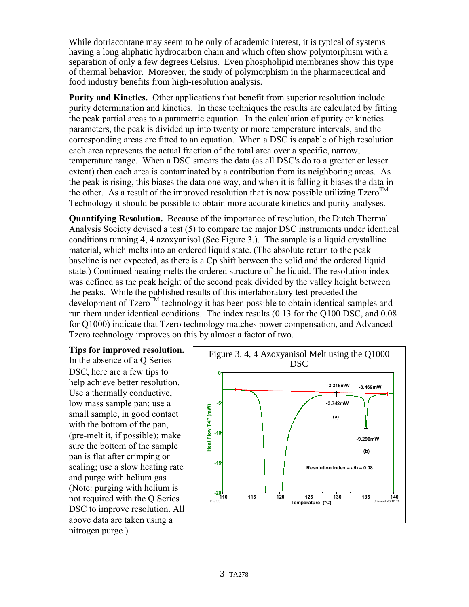While dotriacontane may seem to be only of academic interest, it is typical of systems having a long aliphatic hydrocarbon chain and which often show polymorphism with a separation of only a few degrees Celsius. Even phospholipid membranes show this type of thermal behavior. Moreover, the study of polymorphism in the pharmaceutical and food industry benefits from high-resolution analysis.

**Purity and Kinetics.** Other applications that benefit from superior resolution include purity determination and kinetics. In these techniques the results are calculated by fitting the peak partial areas to a parametric equation. In the calculation of purity or kinetics parameters, the peak is divided up into twenty or more temperature intervals, and the corresponding areas are fitted to an equation. When a DSC is capable of high resolution each area represents the actual fraction of the total area over a specific, narrow, temperature range. When a DSC smears the data (as all DSC's do to a greater or lesser extent) then each area is contaminated by a contribution from its neighboring areas. As the peak is rising, this biases the data one way, and when it is falling it biases the data in the other. As a result of the improved resolution that is now possible utilizing  $Tzero^{TM}$ Technology it should be possible to obtain more accurate kinetics and purity analyses.

**Quantifying Resolution.** Because of the importance of resolution, the Dutch Thermal Analysis Society devised a test (5) to compare the major DSC instruments under identical conditions running 4, 4 azoxyanisol (See Figure 3.). The sample is a liquid crystalline material, which melts into an ordered liquid state. (The absolute return to the peak baseline is not expected, as there is a Cp shift between the solid and the ordered liquid state.) Continued heating melts the ordered structure of the liquid. The resolution index was defined as the peak height of the second peak divided by the valley height between the peaks. While the published results of this interlaboratory test preceded the development of  $Tzero^{TM}$  technology it has been possible to obtain identical samples and run them under identical conditions. The index results (0.13 for the Q100 DSC, and 0.08 for Q1000) indicate that Tzero technology matches power compensation, and Advanced Tzero technology improves on this by almost a factor of two.

**Tips for improved resolution.** In the absence of a Q Series DSC, here are a few tips to help achieve better resolution. Use a thermally conductive, low mass sample pan; use a small sample, in good contact with the bottom of the pan, (pre-melt it, if possible); make sure the bottom of the sample pan is flat after crimping or sealing; use a slow heating rate and purge with helium gas (Note: purging with helium is not required with the Q Series DSC to improve resolution. All above data are taken using a nitrogen purge.)